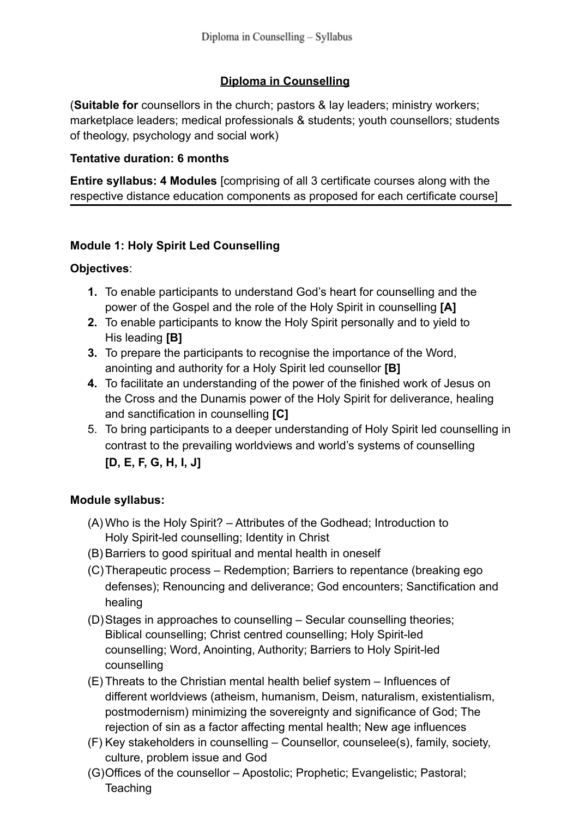# **Diploma in Counselling**

(**Suitable for** counsellors in the church; pastors & lay leaders; ministry workers; marketplace leaders; medical professionals & students; youth counsellors; students of theology, psychology and social work)

### **Tentative duration: 6 months**

**Entire syllabus: 4 Modules** [comprising of all 3 certificate courses along with the respective distance education components as proposed for each certificate course]

# **Module 1: Holy Spirit Led Counselling**

### **Objectives**:

- **1.** To enable participants to understand God's heart for counselling and the power of the Gospel and the role of the Holy Spirit in counselling **[A]**
- **2.** To enable participants to know the Holy Spirit personally and to yield to His leading **[B]**
- **3.** To prepare the participants to recognise the importance of the Word, anointing and authority for a Holy Spirit led counsellor **[B]**
- **4.** To facilitate an understanding of the power of the finished work of Jesus on the Cross and the Dunamis power of the Holy Spirit for deliverance, healing and sanctification in counselling **[C]**
- 5. To bring participants to a deeper understanding of Holy Spirit led counselling in contrast to the prevailing worldviews and world's systems of counselling **[D, E, F, G, H, I, J]**

## **Module syllabus:**

- (A) Who is the Holy Spirit? Attributes of the Godhead; Introduction to Holy Spirit-led counselling; Identity in Christ
- (B) Barriers to good spiritual and mental health in oneself
- (C)Therapeutic process Redemption; Barriers to repentance (breaking ego defenses); Renouncing and deliverance; God encounters; Sanctification and healing
- (D)Stages in approaches to counselling Secular counselling theories; Biblical counselling; Christ centred counselling; Holy Spirit-led counselling; Word, Anointing, Authority; Barriers to Holy Spirit-led counselling
- (E) Threats to the Christian mental health belief system Influences of different worldviews (atheism, humanism, Deism, naturalism, existentialism, postmodernism) minimizing the sovereignty and significance of God; The rejection of sin as a factor affecting mental health; New age influences
- (F) Key stakeholders in counselling Counsellor, counselee(s), family, society, culture, problem issue and God
- (G)Offices of the counsellor Apostolic; Prophetic; Evangelistic; Pastoral; **Teaching**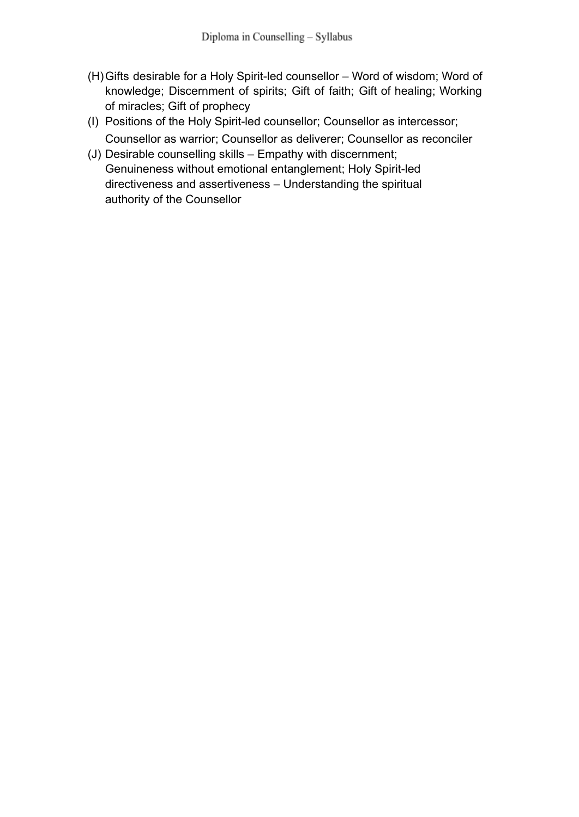- (H)Gifts desirable for a Holy Spirit-led counsellor Word of wisdom; Word of knowledge; Discernment of spirits; Gift of faith; Gift of healing; Working of miracles; Gift of prophecy
- (I) Positions of the Holy Spirit-led counsellor; Counsellor as intercessor; Counsellor as warrior; Counsellor as deliverer; Counsellor as reconciler
- (J) Desirable counselling skills Empathy with discernment; Genuineness without emotional entanglement; Holy Spirit-led directiveness and assertiveness – Understanding the spiritual authority of the Counsellor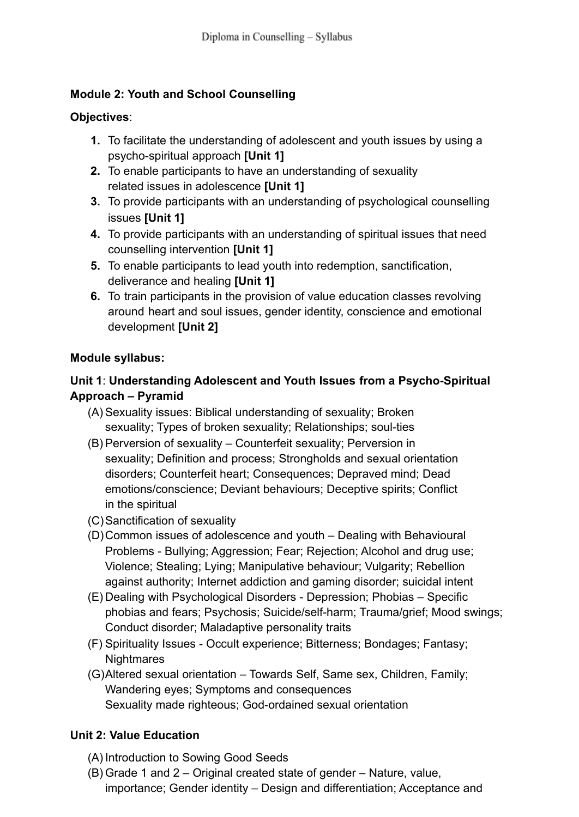# **Module 2: Youth and School Counselling**

### **Objectives**:

- **1.** To facilitate the understanding of adolescent and youth issues by using a psycho-spiritual approach **[Unit 1]**
- **2.** To enable participants to have an understanding of sexuality related issues in adolescence **[Unit 1]**
- **3.** To provide participants with an understanding of psychological counselling issues **[Unit 1]**
- **4.** To provide participants with an understanding of spiritual issues that need counselling intervention **[Unit 1]**
- **5.** To enable participants to lead youth into redemption, sanctification, deliverance and healing **[Unit 1]**
- **6.** To train participants in the provision of value education classes revolving around heart and soul issues, gender identity, conscience and emotional development **[Unit 2]**

### **Module syllabus:**

# **Unit 1**: **Understanding Adolescent and Youth Issues from a Psycho-Spiritual Approach – Pyramid**

- (A) Sexuality issues: Biblical understanding of sexuality; Broken sexuality; Types of broken sexuality; Relationships; soul-ties
- (B) Perversion of sexuality Counterfeit sexuality; Perversion in sexuality; Definition and process; Strongholds and sexual orientation disorders; Counterfeit heart; Consequences; Depraved mind; Dead emotions/conscience; Deviant behaviours; Deceptive spirits; Conflict in the spiritual
- (C)Sanctification of sexuality
- (D)Common issues of adolescence and youth Dealing with Behavioural Problems - Bullying; Aggression; Fear; Rejection; Alcohol and drug use; Violence; Stealing; Lying; Manipulative behaviour; Vulgarity; Rebellion against authority; Internet addiction and gaming disorder; suicidal intent
- (E) Dealing with Psychological Disorders Depression; Phobias Specific phobias and fears; Psychosis; Suicide/self-harm; Trauma/grief; Mood swings; Conduct disorder; Maladaptive personality traits
- (F) Spirituality Issues Occult experience; Bitterness; Bondages; Fantasy; **Nightmares**
- (G)Altered sexual orientation Towards Self, Same sex, Children, Family; Wandering eyes; Symptoms and consequences Sexuality made righteous; God-ordained sexual orientation

## **Unit 2: Value Education**

- (A) Introduction to Sowing Good Seeds
- (B) Grade 1 and 2 Original created state of gender Nature, value, importance; Gender identity – Design and differentiation; Acceptance and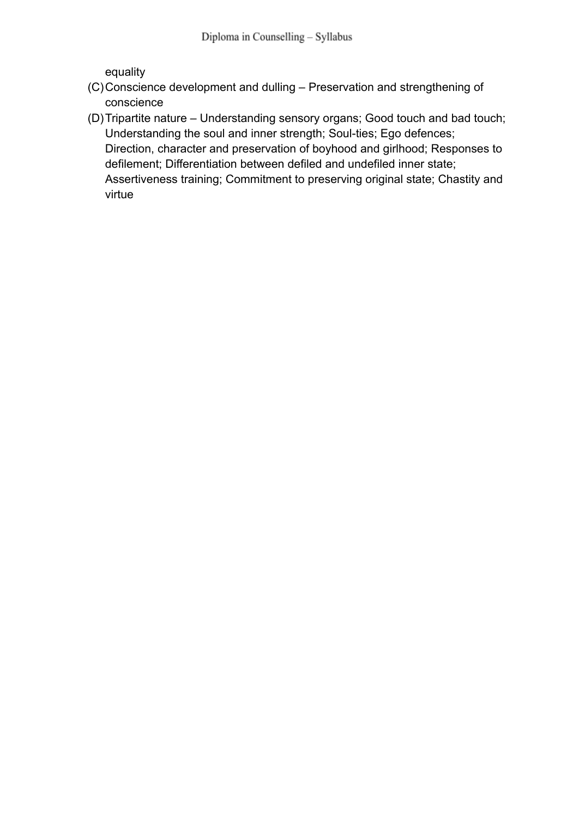equality

- (C)Conscience development and dulling Preservation and strengthening of conscience
- (D)Tripartite nature Understanding sensory organs; Good touch and bad touch; Understanding the soul and inner strength; Soul-ties; Ego defences; Direction, character and preservation of boyhood and girlhood; Responses to defilement; Differentiation between defiled and undefiled inner state; Assertiveness training; Commitment to preserving original state; Chastity and virtue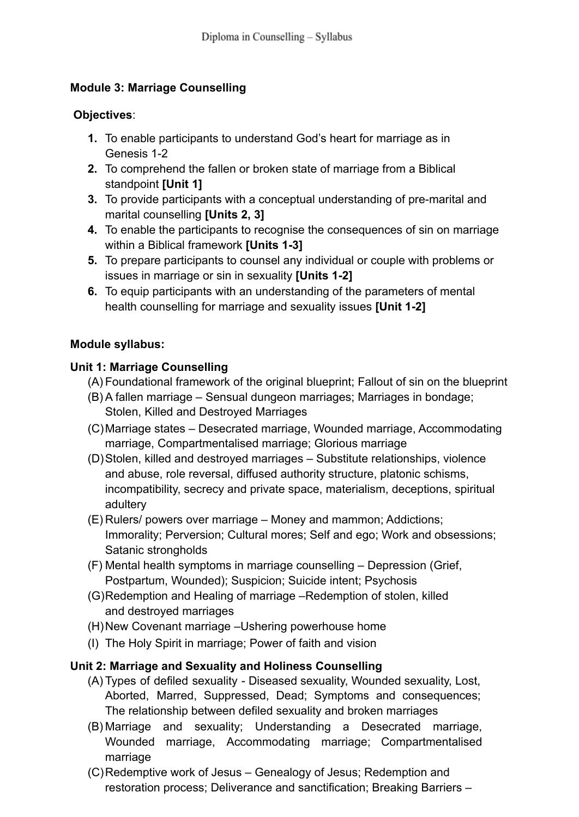### **Module 3: Marriage Counselling**

#### **Objectives**:

- **1.** To enable participants to understand God's heart for marriage as in Genesis 1-2
- **2.** To comprehend the fallen or broken state of marriage from a Biblical standpoint **[Unit 1]**
- **3.** To provide participants with a conceptual understanding of pre-marital and marital counselling **[Units 2, 3]**
- **4.** To enable the participants to recognise the consequences of sin on marriage within a Biblical framework **[Units 1-3]**
- **5.** To prepare participants to counsel any individual or couple with problems or issues in marriage or sin in sexuality **[Units 1-2]**
- **6.** To equip participants with an understanding of the parameters of mental health counselling for marriage and sexuality issues **[Unit 1-2]**

### **Module syllabus:**

### **Unit 1: Marriage Counselling**

- (A) Foundational framework of the original blueprint; Fallout of sin on the blueprint
- (B) A fallen marriage Sensual dungeon marriages; Marriages in bondage; Stolen, Killed and Destroyed Marriages
- (C)Marriage states Desecrated marriage, Wounded marriage, Accommodating marriage, Compartmentalised marriage; Glorious marriage
- (D)Stolen, killed and destroyed marriages Substitute relationships, violence and abuse, role reversal, diffused authority structure, platonic schisms, incompatibility, secrecy and private space, materialism, deceptions, spiritual adultery
- (E) Rulers/ powers over marriage Money and mammon; Addictions; Immorality; Perversion; Cultural mores; Self and ego; Work and obsessions; Satanic strongholds
- (F) Mental health symptoms in marriage counselling Depression (Grief, Postpartum, Wounded); Suspicion; Suicide intent; Psychosis
- (G)Redemption and Healing of marriage –Redemption of stolen, killed and destroyed marriages
- (H)New Covenant marriage –Ushering powerhouse home
- (I) The Holy Spirit in marriage; Power of faith and vision

## **Unit 2: Marriage and Sexuality and Holiness Counselling**

- (A) Types of defiled sexuality Diseased sexuality, Wounded sexuality, Lost, Aborted, Marred, Suppressed, Dead; Symptoms and consequences; The relationship between defiled sexuality and broken marriages
- (B) Marriage and sexuality; Understanding a Desecrated marriage, Wounded marriage, Accommodating marriage; Compartmentalised marriage
- (C)Redemptive work of Jesus Genealogy of Jesus; Redemption and restoration process; Deliverance and sanctification; Breaking Barriers –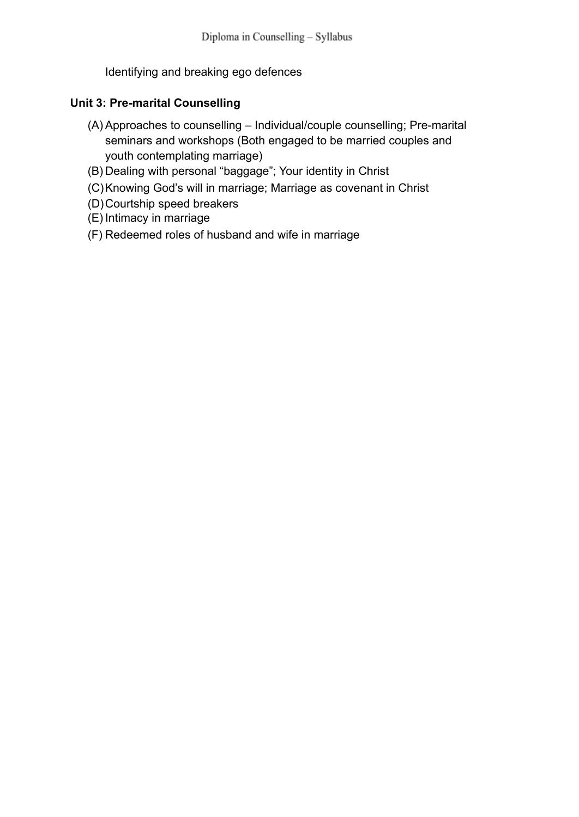Identifying and breaking ego defences

### **Unit 3: Pre-marital Counselling**

- (A) Approaches to counselling Individual/couple counselling; Pre-marital seminars and workshops (Both engaged to be married couples and youth contemplating marriage)
- (B) Dealing with personal "baggage"; Your identity in Christ
- (C)Knowing God's will in marriage; Marriage as covenant in Christ
- (D)Courtship speed breakers
- (E) Intimacy in marriage
- (F) Redeemed roles of husband and wife in marriage